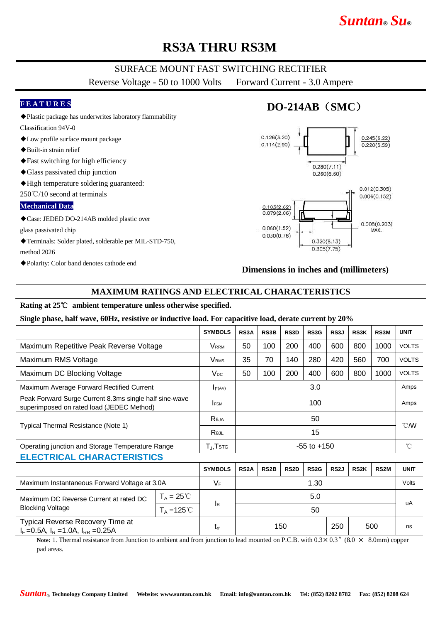# *Suntan***®** *Su***®**

## **RS3A THRU RS3M**

### SURFACE MOUNT FAST SWITCHING RECTIFIER

Reverse Voltage - 50 to 1000 Volts Forward Current - 3.0 Ampere

#### **F E A T U R E S**

- ◆Plastic package has underwrites laboratory flammability
- Classification 94V-0 ◆Low profile surface mount package
- 
- ◆Built-in strain relief
- ◆Fast switching for high efficiency
- ◆Glass passivated chip junction
- ◆High temperature soldering guaranteed:

250℃/10 second at terminals

#### **Mechanical Data**

◆Case: JEDED DO-214AB molded plastic over

glass passivated chip

- ◆Terminals: Solder plated, solderable per MIL-STD-750, method 2026
- ◆Polarity: Color band denotes cathode end

### **DO-214AB**(**SMC**)



#### **Dimensions in inches and (millimeters)**

### **MAXIMUM RATINGS AND ELECTRICAL CHARACTERISTICS**

#### **Rating at 25**℃ **ambient temperature unless otherwise specified.**

#### **Single phase, half wave, 60Hz, resistive or inductive load. For capacitive load, derate current by 20%**

|                                                                                                     |                      | <b>SYMBOLS</b>               | RS3A              | RS3B              | RS3D              | RS3G              | RS3J              | <b>RS3K</b> | RS3M              | <b>UNIT</b>    |
|-----------------------------------------------------------------------------------------------------|----------------------|------------------------------|-------------------|-------------------|-------------------|-------------------|-------------------|-------------|-------------------|----------------|
| Maximum Repetitive Peak Reverse Voltage                                                             |                      | <b>V</b> <sub>RRM</sub>      | 50                | 100               | 200               | 400               | 600               | 800         | 1000              | <b>VOLTS</b>   |
| Maximum RMS Voltage                                                                                 |                      | <b>V</b> <sub>RMS</sub>      | 35                | 70                | 140               | 280               | 420               | 560         | 700               | <b>VOLTS</b>   |
| Maximum DC Blocking Voltage                                                                         |                      | $V_{DC}$                     | 50                | 100               | 200               | 400               | 600               | 800         | 1000              | <b>VOLTS</b>   |
| Maximum Average Forward Rectified Current                                                           |                      | F(AV)                        | 3.0               |                   |                   |                   |                   |             |                   | Amps           |
| Peak Forward Surge Current 8.3ms single half sine-wave<br>superimposed on rated load (JEDEC Method) |                      | <b>IFSM</b>                  | 100               |                   |                   |                   |                   |             |                   | Amps           |
| Typical Thermal Resistance (Note 1)                                                                 |                      | Reja                         | 50                |                   |                   |                   |                   |             |                   | $^{\circ}$ CMV |
|                                                                                                     |                      | Rejl                         | 15                |                   |                   |                   |                   |             |                   |                |
| Operating junction and Storage Temperature Range                                                    |                      | $T_{J}$ , $T$ <sub>STG</sub> | $-55$ to $+150$   |                   |                   |                   |                   |             |                   | °C             |
| <b>ELECTRICAL CHARACTERISTICS</b>                                                                   |                      |                              |                   |                   |                   |                   |                   |             |                   |                |
|                                                                                                     |                      | <b>SYMBOLS</b>               | RS <sub>2</sub> A | RS <sub>2</sub> B | RS <sub>2</sub> D | RS <sub>2</sub> G | RS <sub>2</sub> J | <b>RS2K</b> | RS <sub>2</sub> M | <b>UNIT</b>    |
| Maximum Instantaneous Forward Voltage at 3.0A                                                       |                      | $V_F$                        | 1.30              |                   |                   |                   |                   |             |                   | Volts          |
| Maximum DC Reverse Current at rated DC<br><b>Blocking Voltage</b>                                   | $T_A = 25^{\circ}$   |                              |                   | 5.0               |                   |                   |                   |             |                   |                |
|                                                                                                     | $T_A = 125^{\circ}C$ | <b>I</b> R                   |                   | 50                |                   |                   |                   |             |                   | uA             |
| <b>Typical Reverse Recovery Time at</b><br>$I_F = 0.5A$ , $I_R = 1.0A$ , $I_{RR} = 0.25A$           |                      | $t_{rr}$                     | 150<br>250<br>500 |                   |                   |                   |                   |             | ns                |                |

**Note:** 1. Thermal resistance from Junction to ambient and from junction to lead mounted on P.C.B. with  $0.3 \times 0.3$  " $(8.0 \times 8.0 \text{ mm})$  copper pad areas.